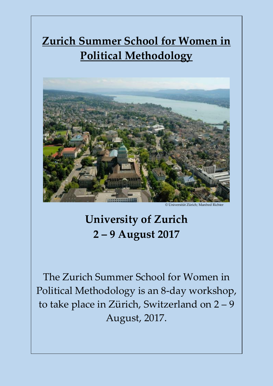# **Zurich Summer School for Women in Political Methodology**



© Universität Zürich: Manfred Richte

# **University of Zurich 2 – 9 August 2017**

The Zurich Summer School for Women in Political Methodology is an 8-day workshop, to take place in Zürich, Switzerland on 2 – 9 August, 2017.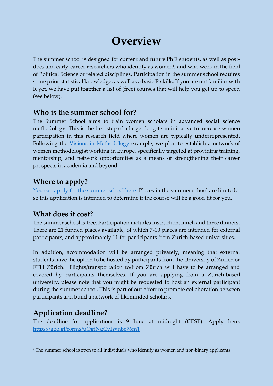## **Overview**

The summer school is designed for current and future PhD students, as well as postdocs and early-career researchers who identify as women<sup>1</sup>, and who work in the field of Political Science or related disciplines. Participation in the summer school requires some prior statistical knowledge, as well as a basic R skills. If you are not familiar with R yet, we have put together a list of (free) courses that will help you get up to speed (see below).

### **Who is the summer school for?**

The Summer School aims to train women scholars in advanced social science methodology. This is the first step of a larger long-term initiative to increase women participation in this research field where women are typically underrepresented. Following the [Visions in Methodology](http://visionsinmethodology.org/) example, we plan to establish a network of women methodologist working in Europe, specifically targeted at providing training, mentorship, and network opportunities as a means of strengthening their career prospects in academia and beyond.

### **Where to apply?**

[You can apply for the summer school here.](https://goo.gl/forms/uOgiNgCvIWnb676m1) Places in the summer school are limited, so this application is intended to determine if the course will be a good fit for you.

### **What does it cost?**

The summer school is free. Participation includes instruction, lunch and three dinners. There are 21 funded places available, of which 7-10 places are intended for external participants, and approximately 11 for participants from Zurich-based universities.

In addition, accommodation will be arranged privately, meaning that external students have the option to be hosted by participants from the University of Zürich or ETH Zürich. Flights/transportation to/from Zürich will have to be arranged and covered by participants themselves. If you are applying from a Zurich-based university, please note that you might be requested to host an external participant during the summer school. This is part of our effort to promote collaboration between participants and build a network of likeminded scholars.

## **Application deadline?**

The deadline for applications is 9 June at midnight (CEST). Apply here: <https://goo.gl/forms/uOgiNgCvIWnb676m1>

 $1$ <sup>1</sup> The summer school is open to all individuals who identify as women and non-binary applicants.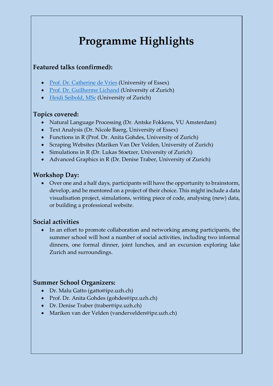## **Programme Highlights**

#### **Featured talks (confirmed):**

- [Prof. Dr. Catherine de Vries](http://catherinedevries.eu/content/) (University of Essex)
- [Prof. Dr. Guilherme Lichand](https://sites.google.com/site/glichand/home) (University of Zurich)
- [Heidi Seibold, MSc](http://www.ebpi.uzh.ch/en/aboutus/departments/biostatistics/teambiostats/seibold.html) (University of Zurich)

#### **Topics covered:**

- Natural Language Processing (Dr. Antske Fokkens, VU Amsterdam)
- Text Analysis (Dr. Nicole Baerg, University of Essex)
- Functions in R (Prof. Dr. Anita Gohdes, University of Zurich)
- Scraping Websites (Mariken Van Der Velden, University of Zurich)
- Simulations in R (Dr. Lukas Stoetzer, University of Zurich)
- Advanced Graphics in R (Dr. Denise Traber, University of Zurich)

### **Workshop Day:**

• Over one and a half days, participants will have the opportunity to brainstorm, develop, and be mentored on a project of their choice. This might include a data visualisation project, simulations, writing piece of code, analysing (new) data, or building a professional website.

### **Social activities**

• In an effort to promote collaboration and networking among participants, the summer school will host a number of social activities, including two informal dinners, one formal dinner, joint lunches, and an excursion exploring lake Zurich and surroundings.

#### **Summer School Organizers:**

- Dr. Malu Gatto (gatto@ipz.uzh.ch)
- Prof. Dr. Anita Gohdes (gohdes@ipz.uzh.ch)
- Dr. Denise Traber (traber@ipz.uzh.ch)
- Mariken van der Velden (vandervelden@ipz.uzh.ch)